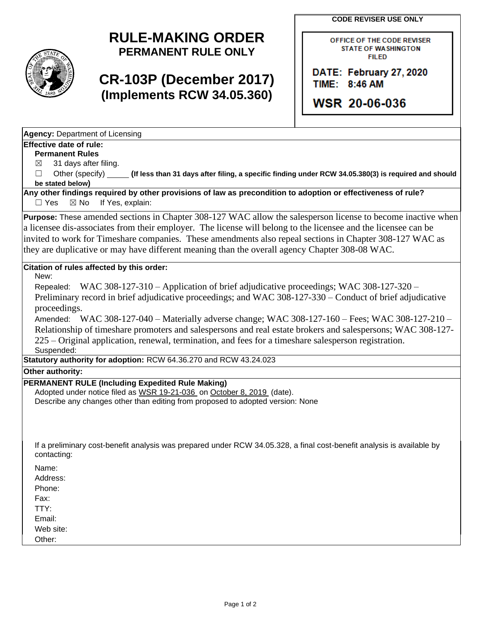**CODE REVISER USE ONLY**



# **RULE-MAKING ORDER PERMANENT RULE ONLY**

# **CR-103P (December 2017) (Implements RCW 34.05.360)**

OFFICE OF THE CODE REVISER **STATE OF WASHINGTON FILED** 

DATE: February 27, 2020 TIME: 8:46 AM

**WSR 20-06-036** 

**Agency:** Department of Licensing

#### **Effective date of rule:**

**Permanent Rules**

 $\boxtimes$  31 days after filing.

☐ Other (specify) **(If less than 31 days after filing, a specific finding under RCW 34.05.380(3) is required and should be stated below)**

**Any other findings required by other provisions of law as precondition to adoption or effectiveness of rule?** □ Yes ⊠ No If Yes, explain:

**Purpose:** These amended sections in Chapter 308-127 WAC allow the salesperson license to become inactive when a licensee dis-associates from their employer. The license will belong to the licensee and the licensee can be invited to work for Timeshare companies. These amendments also repeal sections in Chapter 308-127 WAC as they are duplicative or may have different meaning than the overall agency Chapter 308-08 WAC.

#### **Citation of rules affected by this order:**

New:

Repealed: WAC 308-127-310 – Application of brief adjudicative proceedings; WAC 308-127-320 – Preliminary record in brief adjudicative proceedings; and WAC 308-127-330 – Conduct of brief adjudicative proceedings.

Amended: WAC 308-127-040 – Materially adverse change; WAC 308-127-160 – Fees; WAC 308-127-210 – Relationship of timeshare promoters and salespersons and real estate brokers and salespersons; WAC 308-127- 225 – Original application, renewal, termination, and fees for a timeshare salesperson registration. Suspended:

**Statutory authority for adoption:** RCW 64.36.270 and RCW 43.24.023

**Other authority:** 

### **PERMANENT RULE (Including Expedited Rule Making)**

Adopted under notice filed as WSR 19-21-036 on October 8, 2019 (date). Describe any changes other than editing from proposed to adopted version: None

If a preliminary cost-benefit analysis was prepared under RCW 34.05.328, a final cost-benefit analysis is available by contacting:

Name:

Address:

Phone:

Fax:

TTY:

Email:

Web site:

Other: